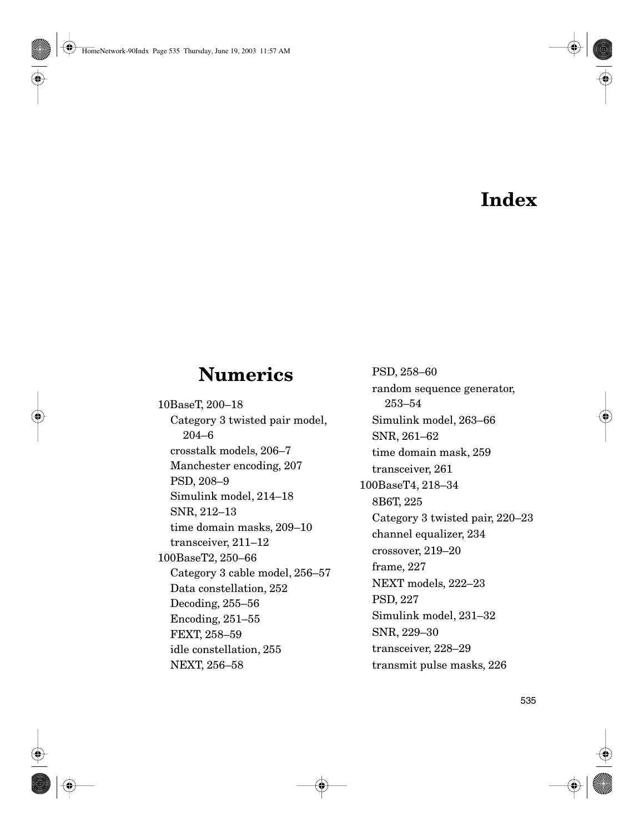## **Numerics**

10BaseT, 200–18 Category 3 twisted pair model, 204–6 crosstalk models, 206–7 Manchester encoding, 207 PSD, 208–9 Simulink model, 214–18 SNR, 212–13 time domain masks, 209–10 transceiver, 211–12 100BaseT2, 250–66 Category 3 cable model, 256–57 Data constellation, 252 Decoding, 255–56 Encoding, 251–55 FEXT, 258–59 idle constellation, 255 NEXT, 256–58

PSD, 258–60 random sequence generator, 253–54 Simulink model, 263–66 SNR, 261–62 time domain mask, 259 transceiver, 261 100BaseT4, 218–34 8B6T, 225 Category 3 twisted pair, 220–23 channel equalizer, 234 crossover, 219–20 frame, 227 NEXT models, 222–23 PSD, 227 Simulink model, 231–32 SNR, 229–30 transceiver, 228–29 transmit pulse masks, 226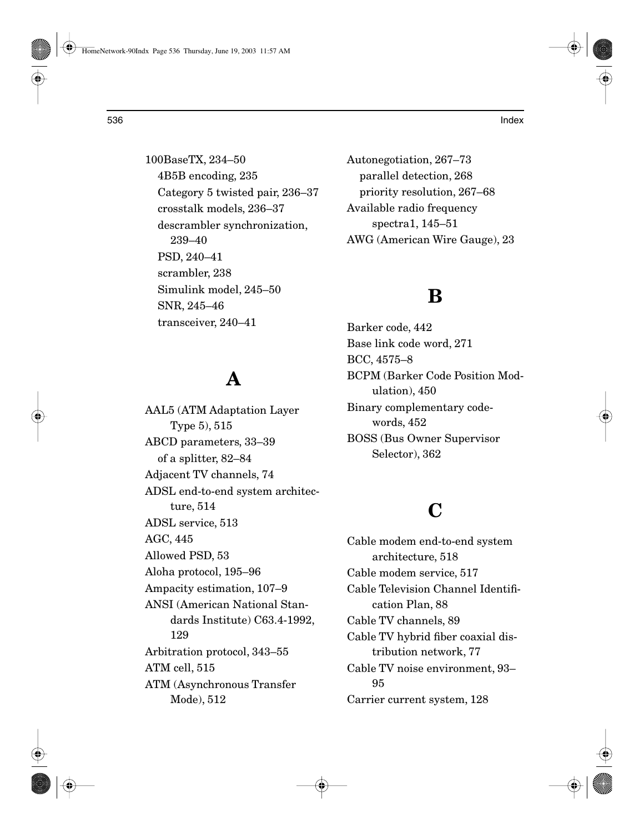100BaseTX, 234–50 4B5B encoding, 235 Category 5 twisted pair, 236–37 crosstalk models, 236–37 descrambler synchronization, 239–40 PSD, 240–41 scrambler, 238 Simulink model, 245–50 SNR, 245–46 transceiver, 240–41

## **A**

AAL5 (ATM Adaptation Layer Type 5), 515 ABCD parameters, 33–39 of a splitter, 82–84 Adjacent TV channels, 74 ADSL end-to-end system architecture, 514 ADSL service, 513 AGC, 445 Allowed PSD, 53 Aloha protocol, 195–96 Ampacity estimation, 107–9 ANSI (American National Standards Institute) C63.4-1992, 129 Arbitration protocol, 343–55 ATM cell, 515 ATM (Asynchronous Transfer Mode), 512

Autonegotiation, 267–73 parallel detection, 268 priority resolution, 267–68 Available radio frequency spectra1, 145–51 AWG (American Wire Gauge), 23

#### **B**

Barker code, 442 Base link code word, 271 BCC, 4575–8 BCPM (Barker Code Position Modulation), 450 Binary complementary codewords, 452 BOSS (Bus Owner Supervisor Selector), 362

## **C**

Cable modem end-to-end system architecture, 518 Cable modem service, 517 Cable Television Channel Identification Plan, 88 Cable TV channels, 89 Cable TV hybrid fiber coaxial distribution network, 77 Cable TV noise environment, 93– 95 Carrier current system, 128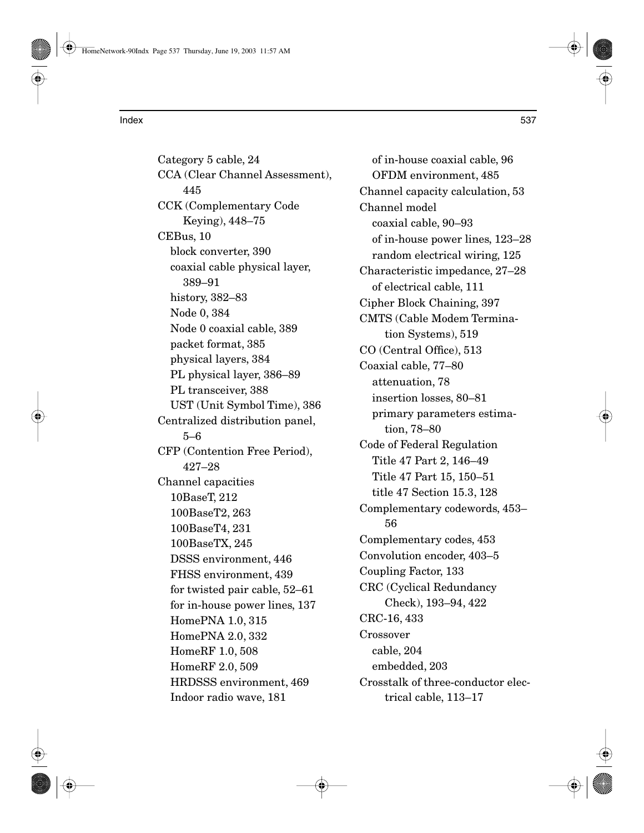Category 5 cable, 24 CCA (Clear Channel Assessment), 445 CCK (Complementary Code Keying), 448–75 CEBus, 10 block converter, 390 coaxial cable physical layer, 389–91 history, 382–83 Node 0, 384 Node 0 coaxial cable, 389 packet format, 385 physical layers, 384 PL physical layer, 386–89 PL transceiver, 388 UST (Unit Symbol Time), 386 Centralized distribution panel, 5–6 CFP (Contention Free Period), 427–28 Channel capacities 10BaseT, 212 100BaseT2, 263 100BaseT4, 231 100BaseTX, 245 DSSS environment, 446 FHSS environment, 439 for twisted pair cable, 52–61 for in-house power lines, 137 HomePNA 1.0, 315 HomePNA 2.0, 332 HomeRF 1.0, 508 HomeRF 2.0, 509 HRDSSS environment, 469 Indoor radio wave, 181

of in-house coaxial cable, 96 OFDM environment, 485 Channel capacity calculation, 53 Channel model coaxial cable, 90–93 of in-house power lines, 123–28 random electrical wiring, 125 Characteristic impedance, 27–28 of electrical cable, 111 Cipher Block Chaining, 397 CMTS (Cable Modem Termination Systems), 519 CO (Central Office), 513 Coaxial cable, 77–80 attenuation, 78 insertion losses, 80–81 primary parameters estimation, 78–80 Code of Federal Regulation Title 47 Part 2, 146–49 Title 47 Part 15, 150–51 title 47 Section 15.3, 128 Complementary codewords, 453– 56 Complementary codes, 453 Convolution encoder, 403–5 Coupling Factor, 133 CRC (Cyclical Redundancy Check), 193–94, 422 CRC-16, 433 Crossover cable, 204 embedded, 203 Crosstalk of three-conductor electrical cable, 113–17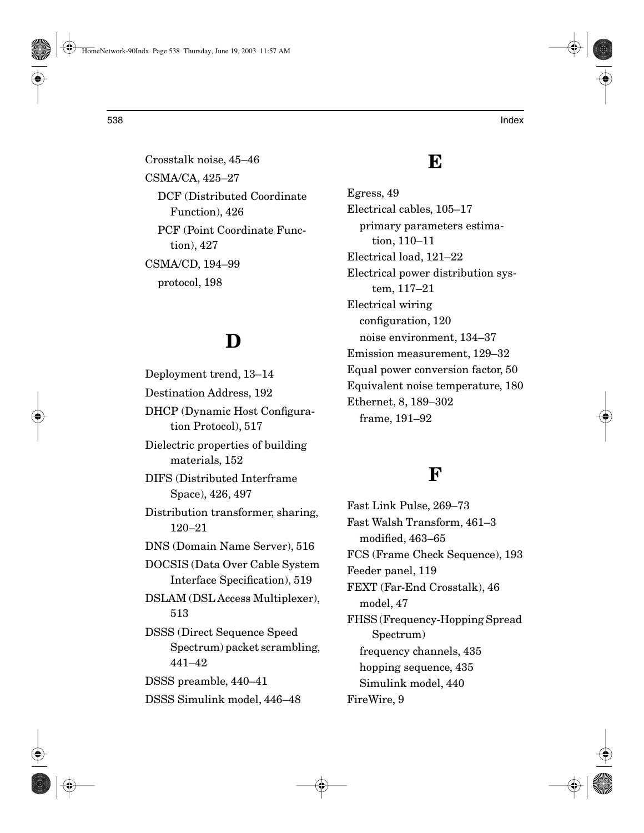Crosstalk noise, 45–46 CSMA/CA, 425–27 DCF (Distributed Coordinate Function), 426 PCF (Point Coordinate Function), 427 CSMA/CD, 194–99 protocol, 198

# **D**

Deployment trend, 13–14 Destination Address, 192 DHCP (Dynamic Host Configuration Protocol), 517 Dielectric properties of building materials, 152 DIFS (Distributed Interframe Space), 426, 497 Distribution transformer, sharing, 120–21 DNS (Domain Name Server), 516 DOCSIS (Data Over Cable System Interface Specification), 519 DSLAM (DSL Access Multiplexer), 513 DSSS (Direct Sequence Speed Spectrum) packet scrambling, 441–42 DSSS preamble, 440–41 DSSS Simulink model, 446–48

## **E**

Egress, 49 Electrical cables, 105–17 primary parameters estimation, 110–11 Electrical load, 121–22 Electrical power distribution system, 117–21 Electrical wiring configuration, 120 noise environment, 134–37 Emission measurement, 129–32 Equal power conversion factor, 50 Equivalent noise temperature, 180 Ethernet, 8, 189–302 frame, 191–92

## **F**

Fast Link Pulse, 269–73 Fast Walsh Transform, 461–3 modified, 463–65 FCS (Frame Check Sequence), 193 Feeder panel, 119 FEXT (Far-End Crosstalk), 46 model, 47 FHSS (Frequency-Hopping Spread Spectrum) frequency channels, 435 hopping sequence, 435 Simulink model, 440 FireWire, 9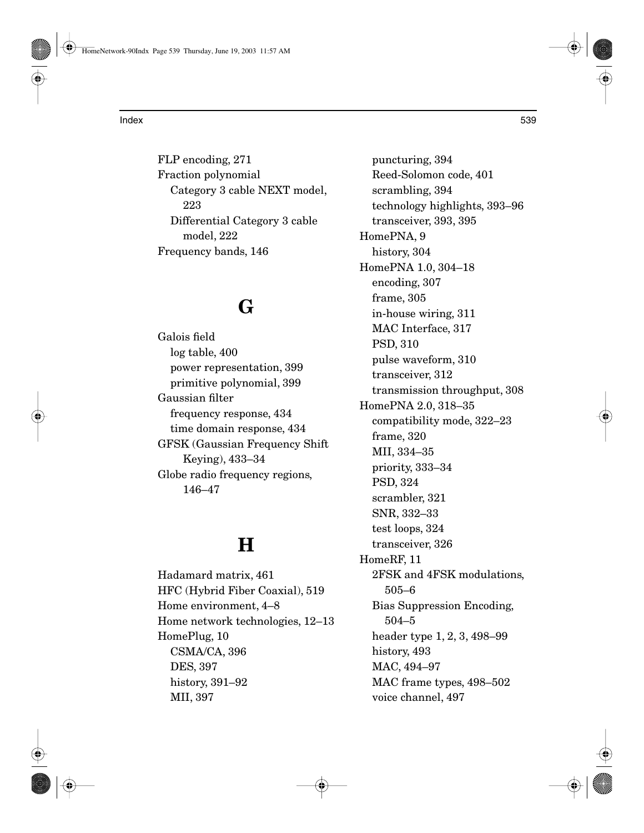FLP encoding, 271 Fraction polynomial Category 3 cable NEXT model, 223 Differential Category 3 cable model, 222 Frequency bands, 146

# **G**

Galois field log table, 400 power representation, 399 primitive polynomial, 399 Gaussian filter frequency response, 434 time domain response, 434 GFSK (Gaussian Frequency Shift Keying), 433–34 Globe radio frequency regions, 146–47

## **H**

Hadamard matrix, 461 HFC (Hybrid Fiber Coaxial), 519 Home environment, 4–8 Home network technologies, 12–13 HomePlug, 10 CSMA/CA, 396 DES, 397 history, 391–92 MII, 397

puncturing, 394 Reed-Solomon code, 401 scrambling, 394 technology highlights, 393–96 transceiver, 393, 395 HomePNA, 9 history, 304 HomePNA 1.0, 304–18 encoding, 307 frame, 305 in-house wiring, 311 MAC Interface, 317 PSD, 310 pulse waveform, 310 transceiver, 312 transmission throughput, 308 HomePNA 2.0, 318–35 compatibility mode, 322–23 frame, 320 MII, 334–35 priority, 333–34 PSD, 324 scrambler, 321 SNR, 332–33 test loops, 324 transceiver, 326 HomeRF, 11 2FSK and 4FSK modulations, 505–6 Bias Suppression Encoding, 504–5 header type 1, 2, 3, 498–99 history, 493 MAC, 494–97 MAC frame types, 498–502 voice channel, 497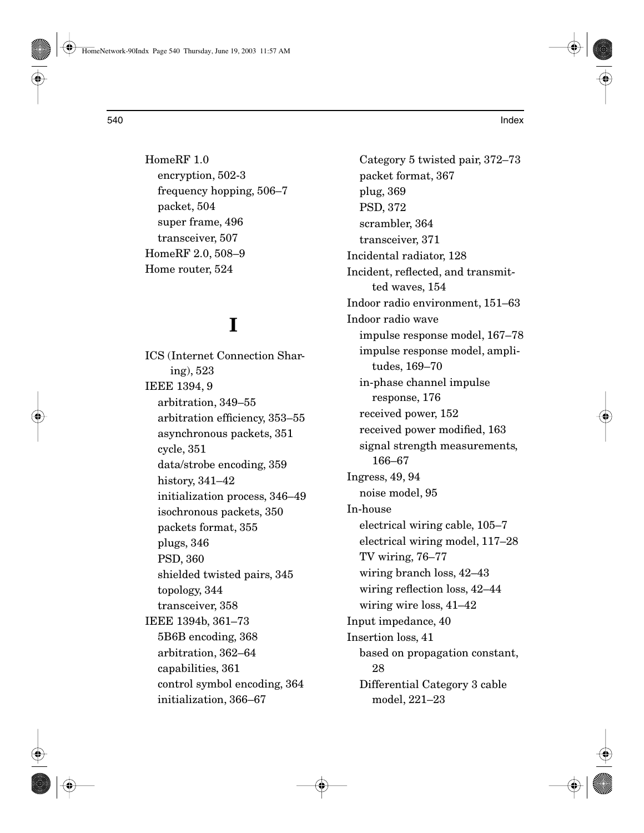HomeRF 1.0 encryption, 502-3 frequency hopping, 506–7 packet, 504 super frame, 496 transceiver, 507 HomeRF 2.0, 508–9 Home router, 524

# **I**

ICS (Internet Connection Sharing), 523 IEEE 1394, 9 arbitration, 349–55 arbitration efficiency, 353–55 asynchronous packets, 351 cycle, 351 data/strobe encoding, 359 history, 341–42 initialization process, 346–49 isochronous packets, 350 packets format, 355 plugs, 346 PSD, 360 shielded twisted pairs, 345 topology, 344 transceiver, 358 IEEE 1394b, 361–73 5B6B encoding, 368 arbitration, 362–64 capabilities, 361 control symbol encoding, 364 initialization, 366–67

Category 5 twisted pair, 372–73 packet format, 367 plug, 369 PSD, 372 scrambler, 364 transceiver, 371 Incidental radiator, 128 Incident, reflected, and transmitted waves, 154 Indoor radio environment, 151–63 Indoor radio wave impulse response model, 167–78 impulse response model, amplitudes, 169–70 in-phase channel impulse response, 176 received power, 152 received power modified, 163 signal strength measurements, 166–67 Ingress, 49, 94 noise model, 95 In-house electrical wiring cable, 105–7 electrical wiring model, 117–28 TV wiring, 76–77 wiring branch loss, 42–43 wiring reflection loss, 42–44 wiring wire loss, 41–42 Input impedance, 40 Insertion loss, 41 based on propagation constant, 28 Differential Category 3 cable model, 221–23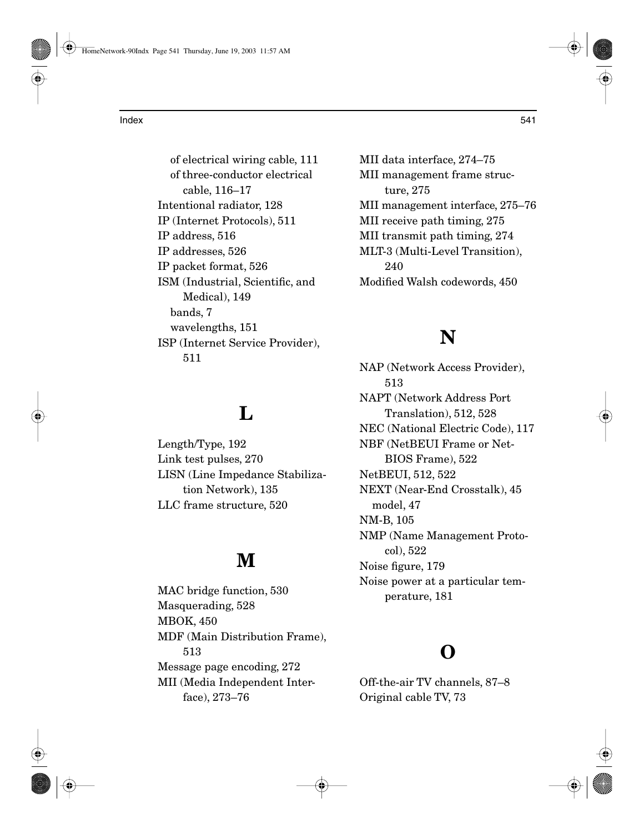of electrical wiring cable, 111 of three-conductor electrical cable, 116–17 Intentional radiator, 128 IP (Internet Protocols), 511 IP address, 516 IP addresses, 526 IP packet format, 526 ISM (Industrial, Scientific, and Medical), 149 bands, 7 wavelengths, 151 ISP (Internet Service Provider), 511

#### **L**

Length/Type, 192 Link test pulses, 270 LISN (Line Impedance Stabilization Network), 135 LLC frame structure, 520

## **M**

MAC bridge function, 530 Masquerading, 528 MBOK, 450 MDF (Main Distribution Frame), 513 Message page encoding, 272 MII (Media Independent Interface), 273–76

MII data interface, 274–75 MII management frame structure, 275 MII management interface, 275–76 MII receive path timing, 275 MII transmit path timing, 274 MLT-3 (Multi-Level Transition), 240 Modified Walsh codewords, 450

### **N**

NAP (Network Access Provider), 513 NAPT (Network Address Port Translation), 512, 528 NEC (National Electric Code), 117 NBF (NetBEUI Frame or Net-BIOS Frame), 522 NetBEUI, 512, 522 NEXT (Near-End Crosstalk), 45 model, 47 NM-B, 105 NMP (Name Management Protocol), 522 Noise figure, 179 Noise power at a particular temperature, 181

#### **O**

Off-the-air TV channels, 87–8 Original cable TV, 73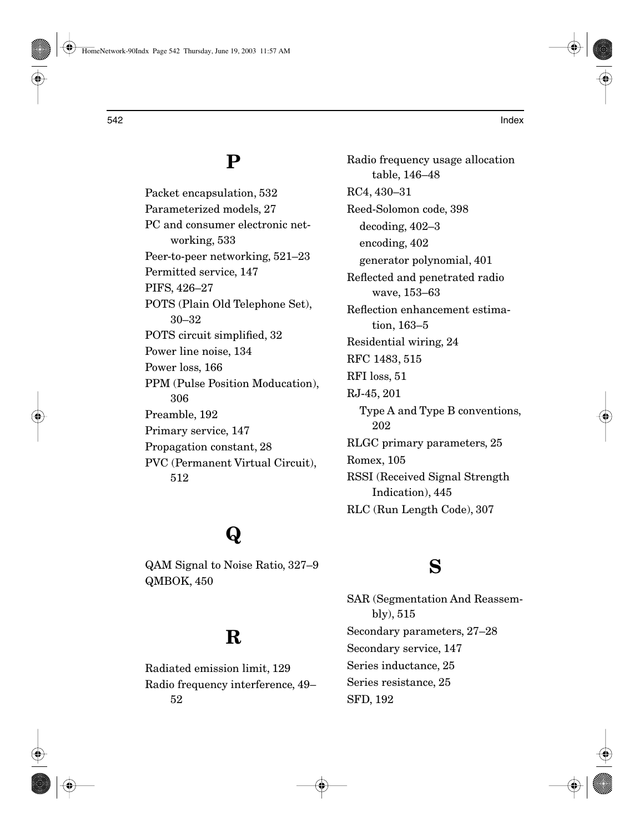#### **P**

Packet encapsulation, 532 Parameterized models, 27 PC and consumer electronic networking, 533 Peer-to-peer networking, 521–23 Permitted service, 147 PIFS, 426–27 POTS (Plain Old Telephone Set), 30–32 POTS circuit simplified, 32 Power line noise, 134 Power loss, 166 PPM (Pulse Position Moducation), 306 Preamble, 192 Primary service, 147 Propagation constant, 28 PVC (Permanent Virtual Circuit), 512

# **Q**

QAM Signal to Noise Ratio, 327–9 QMBOK, 450

### **R**

Radiated emission limit, 129 Radio frequency interference, 49– 52

Radio frequency usage allocation table, 146–48 RC4, 430–31 Reed-Solomon code, 398 decoding, 402–3 encoding, 402 generator polynomial, 401 Reflected and penetrated radio wave, 153–63 Reflection enhancement estimation, 163–5 Residential wiring, 24 RFC 1483, 515 RFI loss, 51 RJ-45, 201 Type A and Type B conventions, 202 RLGC primary parameters, 25 Romex, 105 RSSI (Received Signal Strength Indication), 445 RLC (Run Length Code), 307

### **S**

SAR (Segmentation And Reassembly), 515 Secondary parameters, 27–28 Secondary service, 147 Series inductance, 25 Series resistance, 25 SFD, 192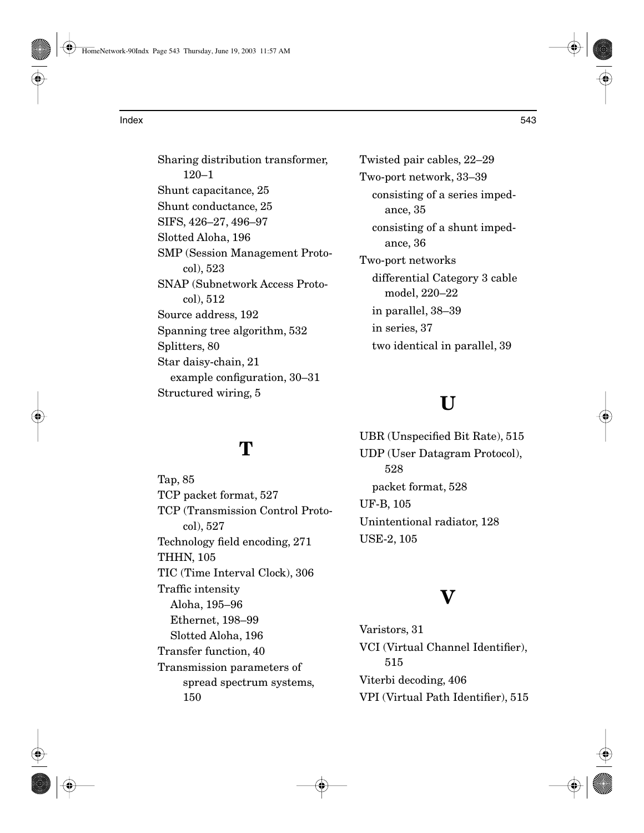Sharing distribution transformer,  $120 - 1$ Shunt capacitance, 25 Shunt conductance, 25 SIFS, 426–27, 496–97 Slotted Aloha, 196 SMP (Session Management Protocol), 523 SNAP (Subnetwork Access Protocol), 512 Source address, 192 Spanning tree algorithm, 532 Splitters, 80 Star daisy-chain, 21 example configuration, 30–31 Structured wiring, 5

Twisted pair cables, 22–29 Two-port network, 33–39 consisting of a series impedance, 35 consisting of a shunt impedance, 36 Two-port networks differential Category 3 cable model, 220–22 in parallel, 38–39 in series, 37 two identical in parallel, 39

#### **U**

UBR (Unspecified Bit Rate), 515 UDP (User Datagram Protocol), 528 packet format, 528 UF-B, 105 Unintentional radiator, 128 USE-2, 105

# **V**

Varistors, 31 VCI (Virtual Channel Identifier), 515 Viterbi decoding, 406 VPI (Virtual Path Identifier), 515

## **T**

Tap, 85 TCP packet format, 527 TCP (Transmission Control Protocol), 527 Technology field encoding, 271 THHN, 105 TIC (Time Interval Clock), 306 Traffic intensity Aloha, 195–96 Ethernet, 198–99 Slotted Aloha, 196 Transfer function, 40 Transmission parameters of spread spectrum systems, 150